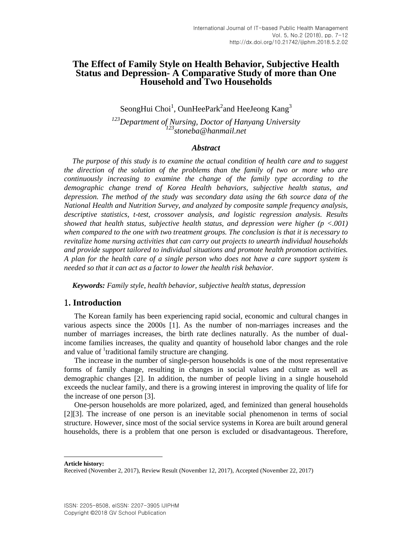# **The Effect of Family Style on Health Behavior, Subjective Health Status and Depression- A Comparative Study of more than One Household and Two Households**

SeongHui Choi<sup>1</sup>, OunHeePark<sup>2</sup>and HeeJeong Kang<sup>3</sup>

*<sup>123</sup>Department of Nursing, Doctor of Hanyang University <sup>123</sup>stoneba@hanmail.net*

#### *Abstract*

*The purpose of this study is to examine the actual condition of health care and to suggest the direction of the solution of the problems than the family of two or more who are continuously increasing to examine the change of the family type according to the demographic change trend of Korea Health behaviors, subjective health status, and depression. The method of the study was secondary data using the 6th source data of the National Health and Nutrition Survey, and analyzed by composite sample frequency analysis, descriptive statistics, t-test, crossover analysis, and logistic regression analysis. Results showed that health status, subjective health status, and depression were higher (p <.001) when compared to the one with two treatment groups. The conclusion is that it is necessary to revitalize home nursing activities that can carry out projects to unearth individual households and provide support tailored to individual situations and promote health promotion activities. A plan for the health care of a single person who does not have a care support system is needed so that it can act as a factor to lower the health risk behavior.*

*Keywords: Family style, health behavior, subjective health status, depression* 

## 1**. Introduction**

The Korean family has been experiencing rapid social, economic and cultural changes in various aspects since the 2000s [\[1\].](#page-4-0) As the number of non-marriages increases and the number of marriages increases, the birth rate declines naturally. As the number of dualincome families increases, the quality and quantity of household labor changes and the role and value of <sup>1</sup>traditional family structure are changing.

The increase in the number of single-person households is one of the most representative forms of family change, resulting in changes in social values and culture as well as demographic changes [\[2\].](#page-4-1) In addition, the number of people living in a single household exceeds the nuclear family, and there is a growing interest in improving the quality of life for the increase of one person [\[3\].](#page-4-2)

One-person households are more polarized, aged, and feminized than general households [\[2\]\[3\].](#page-4-1) The increase of one person is an inevitable social phenomenon in terms of social structure. However, since most of the social service systems in Korea are built around general households, there is a problem that one person is excluded or disadvantageous. Therefore,

**Article history:**

l

Received (November 2, 2017), Review Result (November 12, 2017), Accepted (November 22, 2017)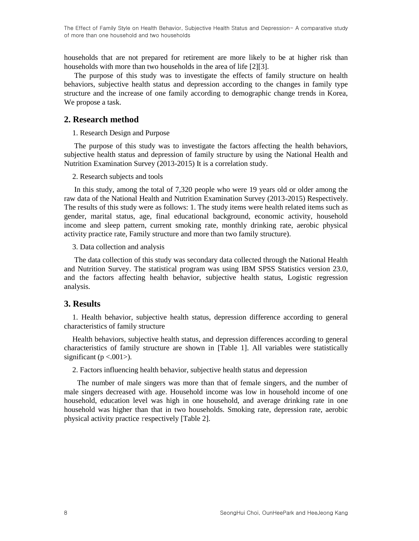The Effect of Family Style on Health Behavior, Subjective Health Status and Depression- A comparative study of more than one household and two households

households that are not prepared for retirement are more likely to be at higher risk than households with more than two households in the area of life [\[2\]\[3\].](#page-4-1)

The purpose of this study was to investigate the effects of family structure on health behaviors, subjective health status and depression according to the changes in family type structure and the increase of one family according to demographic change trends in Korea, We propose a task.

### **2. Research method**

#### 1. Research Design and Purpose

The purpose of this study was to investigate the factors affecting the health behaviors, subjective health status and depression of family structure by using the National Health and Nutrition Examination Survey (2013-2015) It is a correlation study.

#### 2. Research subjects and tools

In this study, among the total of 7,320 people who were 19 years old or older among the raw data of the National Health and Nutrition Examination Survey (2013-2015) Respectively. The results of this study were as follows: 1. The study items were health related items such as gender, marital status, age, final educational background, economic activity, household income and sleep pattern, current smoking rate, monthly drinking rate, aerobic physical activity practice rate, Family structure and more than two family structure).

3. Data collection and analysis

The data collection of this study was secondary data collected through the National Health and Nutrition Survey. The statistical program was using IBM SPSS Statistics version 23.0, and the factors affecting health behavior, subjective health status, Logistic regression analysis.

## **3. Results**

1. Health behavior, subjective health status, depression difference according to general characteristics of family structure

Health behaviors, subjective health status, and depression differences according to general characteristics of family structure are shown in [Table 1]. All variables were statistically significant ( $p < .001$ ).

2. Factors influencing health behavior, subjective health status and depression

The number of male singers was more than that of female singers, and the number of male singers decreased with age. Household income was low in household income of one household, education level was high in one household, and average drinking rate in one household was higher than that in two households. Smoking rate, depression rate, aerobic physical activity practice respectively [Table 2].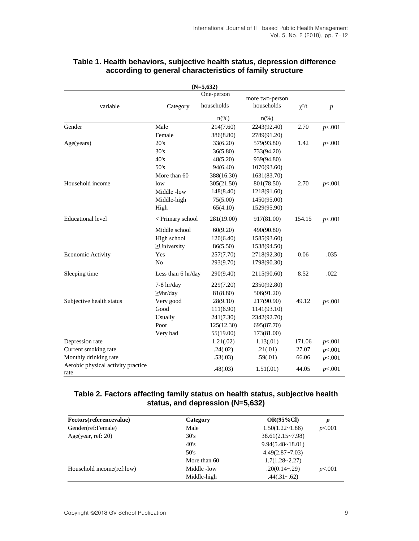| $(N=5,632)$                                |                    |                          |                               |            |                  |  |  |
|--------------------------------------------|--------------------|--------------------------|-------------------------------|------------|------------------|--|--|
| variable                                   | Category           | One-person<br>households | more two-person<br>households | $\chi^2/t$ | $\boldsymbol{p}$ |  |  |
|                                            |                    | $n(\%)$                  | $n(\%)$                       |            |                  |  |  |
| Gender                                     | Male               | 214(7.60)                | 2243(92.40)                   | 2.70       | p<.001           |  |  |
|                                            | Female             | 386(8.80)                | 2789(91.20)                   |            |                  |  |  |
| Age(years)                                 | 20's               | 33(6.20)                 | 579(93.80)                    | 1.42       | p<.001           |  |  |
|                                            | 30's               | 36(5.80)                 | 733(94.20)                    |            |                  |  |  |
|                                            | 40's               | 48(5.20)                 | 939(94.80)                    |            |                  |  |  |
|                                            | 50's               | 94(6.40)                 | 1070(93.60)                   |            |                  |  |  |
|                                            | More than 60       | 388(16.30)               | 1631(83.70)                   |            |                  |  |  |
| Household income                           | low                | 305(21.50)               | 801(78.50)                    | 2.70       | p<.001           |  |  |
|                                            | Middle-low         | 148(8.40)                | 1218(91.60)                   |            |                  |  |  |
|                                            | Middle-high        | 75(5.00)                 | 1450(95.00)                   |            |                  |  |  |
|                                            | High               | 65(4.10)                 | 1529(95.90)                   |            |                  |  |  |
| <b>Educational level</b>                   | < Primary school   | 281(19.00)               | 917(81.00)                    | 154.15     | p<.001           |  |  |
|                                            | Middle school      | 60(9.20)                 | 490(90.80)                    |            |                  |  |  |
|                                            | High school        | 120(6.40)                | 1585(93.60)                   |            |                  |  |  |
|                                            | $\geq$ University  | 86(5.50)                 | 1538(94.50)                   |            |                  |  |  |
| Economic Activity                          | Yes                | 257(7.70)                | 2718(92.30)                   | 0.06       | .035             |  |  |
|                                            | N <sub>0</sub>     | 293(9.70)                | 1798(90.30)                   |            |                  |  |  |
| Sleeping time                              | Less than 6 hr/day | 290(9.40)                | 2115(90.60)                   | 8.52       | .022             |  |  |
|                                            | $7-8$ hr/day       | 229(7.20)                | 2350(92.80)                   |            |                  |  |  |
|                                            | $\geq$ 9hr/day     | 81(8.80)                 | 506(91.20)                    |            |                  |  |  |
| Subjective health status                   | Very good          | 28(9.10)                 | 217(90.90)                    | 49.12      | p<.001           |  |  |
|                                            | Good               | 111(6.90)                | 1141(93.10)                   |            |                  |  |  |
|                                            | Usually            | 241(7.30)                | 2342(92.70)                   |            |                  |  |  |
|                                            | Poor               | 125(12.30)               | 695(87.70)                    |            |                  |  |  |
|                                            | Very bad           | 55(19.00)                | 173(81.00)                    |            |                  |  |  |
| Depression rate                            |                    | 1.21(.02)                | 1.13(01)                      | 171.06     | p<.001           |  |  |
| Current smoking rate                       |                    | .24(.02)                 | .21(.01)                      | 27.07      | p<.001           |  |  |
| Monthly drinking rate                      |                    | .53(.03)                 | .59(.01)                      | 66.06      | p<.001           |  |  |
| Aerobic physical activity practice<br>rate |                    | .48(.03)                 | 1.51(.01)                     | 44.05      | p<.001           |  |  |

# **Table 1. Health behaviors, subjective health status, depression difference according to general characteristics of family structure**

# **Table 2. Factors affecting family status on health status, subjective health status, and depression (N=5,632)**

| Fectors(referencevalue)   | Category     | $OR(95\%CI)$              | p      |
|---------------------------|--------------|---------------------------|--------|
| Gender(ref:Female)        | Male         | $1.50(1.22 \times 1.86)$  | p<.001 |
| Age(year, ref: $20$ )     | 30's         | $38.61(2.15 \times 7.98)$ |        |
|                           | 40's         | 9.94(5.48~18.01)          |        |
|                           | 50's         | $4.49(2.87~-7.03)$        |        |
|                           | More than 60 | $1.7(1.28 - 2.27)$        |        |
| Household income(ref:low) | Middle -low  | $.20(0.14 - .29)$         | p<.001 |
|                           | Middle-high  | $.44(.31 - .62)$          |        |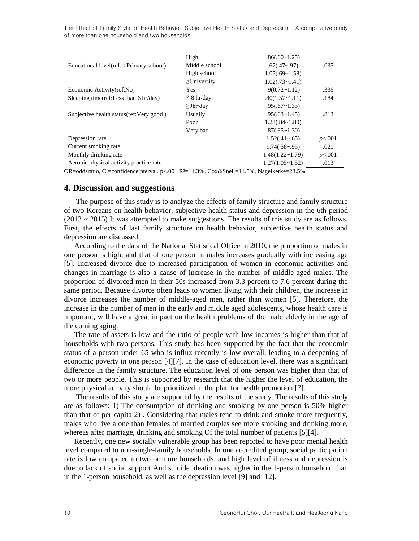The Effect of Family Style on Health Behavior, Subjective Health Status and Depression- A comparative study of more than one household and two households

|                                                                                                      | High              | .86(.60~1.25)          |        |
|------------------------------------------------------------------------------------------------------|-------------------|------------------------|--------|
| Educational level(ref:< Primary school)                                                              | Middle school     | $.67(.47 - .97)$       | .035   |
|                                                                                                      | High school       | 1.05(.69~1.58)         |        |
|                                                                                                      | $\geq$ University | $1.02(.73 \sim 1.41)$  |        |
| Economic Activity(ref:No)                                                                            | <b>Yes</b>        | $.9(0.72 \times 1.12)$ | .336   |
| Sleeping time(ref:Less than $6 \text{ hr/day}$ )                                                     | $7-8$ hr/day      | .80(1.57~1.11)         | .184   |
|                                                                                                      | $\geq$ 9hr/day    | .95(.67~1.33)          |        |
| Subjective health status (ref: Very good)                                                            | Usually           | .95(.63~1.45)          | .813   |
|                                                                                                      | Poor              | 1.23(.84~1.80)         |        |
|                                                                                                      | Very bad          | .87(.85~1.30)          |        |
| Depression rate                                                                                      |                   | $1.52(.41 - .65)$      | p<.001 |
| Current smoking rate                                                                                 |                   | 1.74(.58~0.95)         | .020   |
| Monthly drinking rate                                                                                |                   | $1.48(1.22 \sim 1.79)$ | p<.001 |
| Aerobic physical activity practice rate                                                              |                   | $1.27(1.05 \sim 1.52)$ | .013   |
| OR=oddsratio, Cl=confidenceinterval. p<.001 R <sup>2</sup> =11.3%, Cox&Snell=11.5%, Nagelkerke=23.5% |                   |                        |        |

### **4. Discussion and suggestions**

The purpose of this study is to analyze the effects of family structure and family structure of two Koreans on health behavior, subjective health status and depression in the 6th period  $(2013 \sim 2015)$  It was attempted to make suggestions. The results of this study are as follows. First, the effects of last family structure on health behavior, subjective health status and depression are discussed.

According to the data of the National Statistical Office in 2010, the proportion of males in one person is high, and that of one person in males increases gradually with increasing age [\[5\].](#page-4-3) Increased divorce due to increased participation of women in economic activities and changes in marriage is also a cause of increase in the number of middle-aged males. The proportion of divorced men in their 50s increased from 3.3 percent to 7.6 percent during the same period. Because divorce often leads to women living with their children, the increase in divorce increases the number of middle-aged men, rather than women [\[5\].](#page-4-3) Therefore, the increase in the number of men in the early and middle aged adolescents, whose health care is important, will have a great impact on the health problems of the male elderly in the age of the coming aging.

The rate of assets is low and the ratio of people with low incomes is higher than that of households with two persons. This study has been supported by the fact that the economic status of a person under 65 who is influx recently is low overall, leading to a deepening of economic poverty in one person [\[4\]\[7\].](#page-4-4) In the case of education level, there was a significant difference in the family structure. The education level of one person was higher than that of two or more people. This is supported by research that the higher the level of education, the more physical activity should be prioritized in the plan for health promotion [\[7\].](#page-4-5)

The results of this study are supported by the results of the study. The results of this study are as follows: 1) The consumption of drinking and smoking by one person is 50% higher than that of per capita 2) . Considering that males tend to drink and smoke more frequently, males who live alone than females of married couples see more smoking and drinking more, whereas after marriage, drinking and smoking Of the total number of patients [\[5\]\[4\].](#page-4-3)

Recently, one new socially vulnerable group has been reported to have poor mental health level compared to non-single-family households. In one accredited group, social participation rate is low compared to two or more households, and high level of illness and depression is due to lack of social support And suicide ideation was higher in the 1-person household than in the 1-person household, as well as the depression level [\[9\]](#page-4-6) and [12].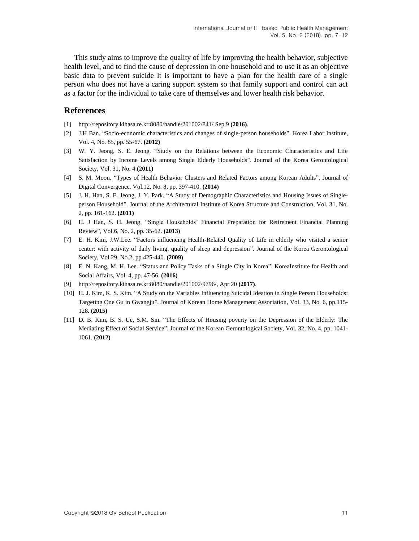This study aims to improve the quality of life by improving the health behavior, subjective health level, and to find the cause of depression in one household and to use it as an objective basic data to prevent suicide It is important to have a plan for the health care of a single person who does not have a caring support system so that family support and control can act as a factor for the individual to take care of themselves and lower health risk behavior.

## **References**

- <span id="page-4-0"></span>[1] <http://repository.kihasa.re.kr:8080/handle/201002/841/> Sep 9 **(2016)**.
- <span id="page-4-1"></span>[2] J.H Ban. "Socio-economic characteristics and changes of single-person households". Korea Labor Institute, Vol. 4, No. 85, pp. 55-67. **(2012)**
- <span id="page-4-2"></span>[3] W. Y. Jeong, S. E. Jeong. "Study on the Relations between the Economic Characteristics and Life Satisfaction by Income Levels among Single Elderly Households". Journal of the Korea Gerontological Society, Vol. 31, No. 4 **(2011)**
- <span id="page-4-4"></span>[4] S. M. Moon. "Types of Health Behavior Clusters and Related Factors among Korean Adults". Journal of Digital Convergence. Vol.12, No. 8, pp. 397-410. **(2014)**
- <span id="page-4-3"></span>[5] J. H. Han, S. E. Jeong, J. Y. Park. "A Study of Demographic Characteristics and Housing Issues of Singleperson Household". Journal of the Architectural Institute of Korea Structure and Construction, Vol. 31, No. 2, pp. 161-162. **(2011)**
- [6] H. J Han, S. H. Jeong. "Single Households' Financial Preparation for Retirement Financial Planning Review", Vol.6, No. 2, pp. 35-62. **(2013)**
- <span id="page-4-5"></span>[7] E. H. Kim, J.W.Lee. "Factors influencing Health-Related Quality of Life in elderly who visited a senior center: with activity of daily living, quality of sleep and depression". Journal of the Korea Gerontological Society, Vol.29, No.2, pp.425-440. **(2009)**
- [8] E. N. Kang, M. H. Lee. "Status and Policy Tasks of a Single City in Korea". KoreaInstitute for Health and Social Affairs, Vol. 4, pp. 47-56. **(2016)**
- <span id="page-4-6"></span>[9] [http://repository.kihasa.re.kr:8080/handle/201002/9796/,](http://repository.kihasa.re.kr:8080/handle/201002/9796/) Apr 20 **(2017)**.
- [10] H. J. Kim, K. S. Kim. "A Study on the Variables Influencing Suicidal Ideation in Single Person Households: Targeting One Gu in Gwangju". Journal of Korean Home Management Association, Vol. 33, No. 6, pp.115- 128. **(2015)**
- [11] D. B. Kim, B. S. Ue, S.M. Sin. "The Effects of Housing poverty on the Depression of the Elderly: The Mediating Effect of Social Service". Journal of the Korean Gerontological Society, Vol. 32, No. 4, pp. 1041- 1061. **(2012)**